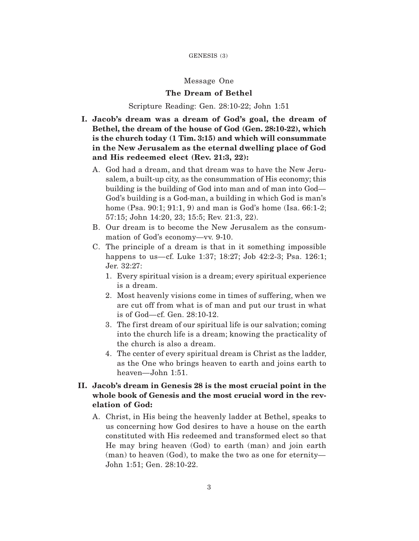## Message One

## **The Dream of Bethel**

## Scripture Reading: Gen. 28:10-22; John 1:51

- **I. Jacob's dream was a dream of God's goal, the dream of Bethel, the dream of the house of God (Gen. 28:10-22), which is the church today (1 Tim. 3:15) and which will consummate in the New Jerusalem as the eternal dwelling place of God and His redeemed elect (Rev. 21:3, 22):**
	- A. God had a dream, and that dream was to have the New Jerusalem, a built-up city, as the consummation of His economy; this building is the building of God into man and of man into God— God's building is a God-man, a building in which God is man's home (Psa. 90:1; 91:1, 9) and man is God's home (Isa. 66:1-2; 57:15; John 14:20, 23; 15:5; Rev. 21:3, 22).
	- B. Our dream is to become the New Jerusalem as the consummation of God's economy—vv. 9-10.
	- C. The principle of a dream is that in it something impossible happens to us—cf. Luke 1:37; 18:27; Job 42:2-3; Psa. 126:1; Jer. 32:27:
		- 1. Every spiritual vision is a dream; every spiritual experience is a dream.
		- 2. Most heavenly visions come in times of suffering, when we are cut off from what is of man and put our trust in what is of God—cf. Gen. 28:10-12.
		- 3. The first dream of our spiritual life is our salvation; coming into the church life is a dream; knowing the practicality of the church is also a dream.
		- 4. The center of every spiritual dream is Christ as the ladder, as the One who brings heaven to earth and joins earth to heaven—John 1:51.

## **II. Jacob's dream in Genesis 28 is the most crucial point in the whole book of Genesis and the most crucial word in the revelation of God:**

A. Christ, in His being the heavenly ladder at Bethel, speaks to us concerning how God desires to have a house on the earth constituted with His redeemed and transformed elect so that He may bring heaven (God) to earth (man) and join earth (man) to heaven (God), to make the two as one for eternity— John 1:51; Gen. 28:10-22.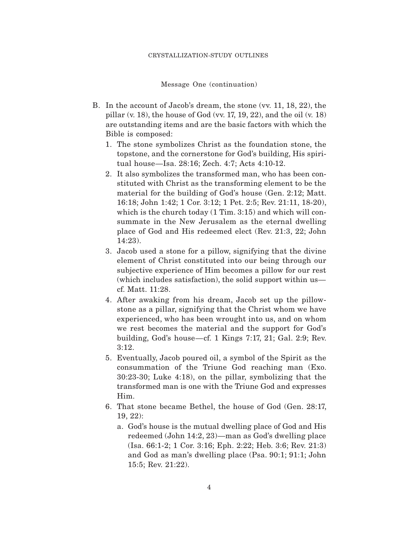#### CRYSTALLIZATION-STUDY OUTLINES

Message One (continuation)

- B. In the account of Jacob's dream, the stone (vv. 11, 18, 22), the pillar (v. 18), the house of God (vv. 17, 19, 22), and the oil (v. 18) are outstanding items and are the basic factors with which the Bible is composed:
	- 1. The stone symbolizes Christ as the foundation stone, the topstone, and the cornerstone for God's building, His spiritual house—Isa. 28:16; Zech. 4:7; Acts 4:10-12.
	- 2. It also symbolizes the transformed man, who has been constituted with Christ as the transforming element to be the material for the building of God's house (Gen. 2:12; Matt. 16:18; John 1:42; 1 Cor. 3:12; 1 Pet. 2:5; Rev. 21:11, 18-20), which is the church today  $(1 \text{ Tim. } 3:15)$  and which will consummate in the New Jerusalem as the eternal dwelling place of God and His redeemed elect (Rev. 21:3, 22; John 14:23).
	- 3. Jacob used a stone for a pillow, signifying that the divine element of Christ constituted into our being through our subjective experience of Him becomes a pillow for our rest (which includes satisfaction), the solid support within us cf. Matt. 11:28.
	- 4. After awaking from his dream, Jacob set up the pillowstone as a pillar, signifying that the Christ whom we have experienced, who has been wrought into us, and on whom we rest becomes the material and the support for God's building, God's house—cf. 1 Kings 7:17, 21; Gal. 2:9; Rev. 3:12.
	- 5. Eventually, Jacob poured oil, a symbol of the Spirit as the consummation of the Triune God reaching man (Exo. 30:23-30; Luke 4:18), on the pillar, symbolizing that the transformed man is one with the Triune God and expresses Him.
	- 6. That stone became Bethel, the house of God (Gen. 28:17, 19, 22):
		- a. God's house is the mutual dwelling place of God and His redeemed (John 14:2, 23)—man as God's dwelling place (Isa. 66:1-2; 1 Cor. 3:16; Eph. 2:22; Heb. 3:6; Rev. 21:3) and God as man's dwelling place (Psa. 90:1; 91:1; John 15:5; Rev. 21:22).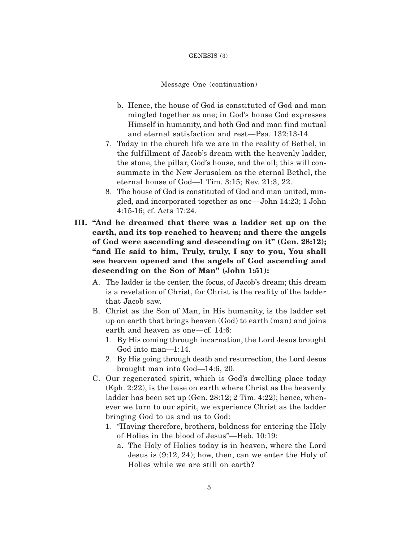#### GENESIS (3)

#### Message One (continuation)

- b. Hence, the house of God is constituted of God and man mingled together as one; in God's house God expresses Himself in humanity, and both God and man find mutual and eternal satisfaction and rest—Psa. 132:13-14.
- 7. Today in the church life we are in the reality of Bethel, in the fulf illment of Jacob's dream with the heavenly ladder, the stone, the pillar, God's house, and the oil; this will consummate in the New Jerusalem as the eternal Bethel, the eternal house of God—1 Tim. 3:15; Rev. 21:3, 22.
- 8. The house of God is constituted of God and man united, mingled, and incorporated together as one—John 14:23; 1 John 4:15-16; cf. Acts 17:24.
- **III. "And he dreamed that there was a ladder set up on the earth, and its top reached to heaven; and there the angels of God were ascending and descending on it" (Gen. 28:12); "and He said to him, Truly, truly, I say to you, You shall see heaven opened and the angels of God ascending and descending on the Son of Man" (John 1:51):**
	- A. The ladder is the center, the focus, of Jacob's dream; this dream is a revelation of Christ, for Christ is the reality of the ladder that Jacob saw.
	- B. Christ as the Son of Man, in His humanity, is the ladder set up on earth that brings heaven (God) to earth (man) and joins earth and heaven as one—cf. 14:6:
		- 1. By His coming through incarnation, the Lord Jesus brought God into man—1:14.
		- 2. By His going through death and resurrection, the Lord Jesus brought man into God—14:6, 20.
	- C. Our regenerated spirit, which is God's dwelling place today (Eph. 2:22), is the base on earth where Christ as the heavenly ladder has been set up (Gen. 28:12; 2 Tim. 4:22); hence, whenever we turn to our spirit, we experience Christ as the ladder bringing God to us and us to God:
		- 1. "Having therefore, brothers, boldness for entering the Holy of Holies in the blood of Jesus"—Heb. 10:19:
			- a. The Holy of Holies today is in heaven, where the Lord Jesus is (9:12, 24); how, then, can we enter the Holy of Holies while we are still on earth?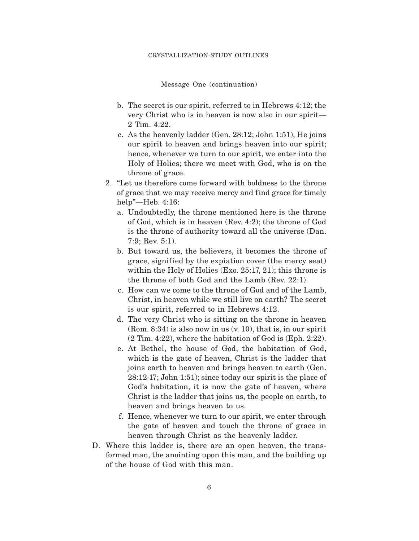#### CRYSTALLIZATION-STUDY OUTLINES

Message One (continuation)

- b. The secret is our spirit, referred to in Hebrews 4:12; the very Christ who is in heaven is now also in our spirit— 2 Tim. 4:22.
- c. As the heavenly ladder (Gen. 28:12; John 1:51), He joins our spirit to heaven and brings heaven into our spirit; hence, whenever we turn to our spirit, we enter into the Holy of Holies; there we meet with God, who is on the throne of grace.
- 2. "Let us therefore come forward with boldness to the throne of grace that we may receive mercy and find grace for timely help"—Heb. 4:16:
	- a. Undoubtedly, the throne mentioned here is the throne of God, which is in heaven (Rev. 4:2); the throne of God is the throne of authority toward all the universe (Dan. 7:9; Rev. 5:1).
	- b. But toward us, the believers, it becomes the throne of grace, signif ied by the expiation cover (the mercy seat) within the Holy of Holies (Exo. 25:17, 21); this throne is the throne of both God and the Lamb (Rev. 22:1).
	- c. How can we come to the throne of God and of the Lamb, Christ, in heaven while we still live on earth? The secret is our spirit, referred to in Hebrews 4:12.
	- d. The very Christ who is sitting on the throne in heaven (Rom. 8:34) is also now in us (v. 10), that is, in our spirit (2 Tim. 4:22), where the habitation of God is (Eph. 2:22).
	- e. At Bethel, the house of God, the habitation of God, which is the gate of heaven, Christ is the ladder that joins earth to heaven and brings heaven to earth (Gen. 28:12-17; John 1:51); since today our spirit is the place of God's habitation, it is now the gate of heaven, where Christ is the ladder that joins us, the people on earth, to heaven and brings heaven to us.
	- f. Hence, whenever we turn to our spirit, we enter through the gate of heaven and touch the throne of grace in heaven through Christ as the heavenly ladder.
- D. Where this ladder is, there are an open heaven, the transformed man, the anointing upon this man, and the building up of the house of God with this man.